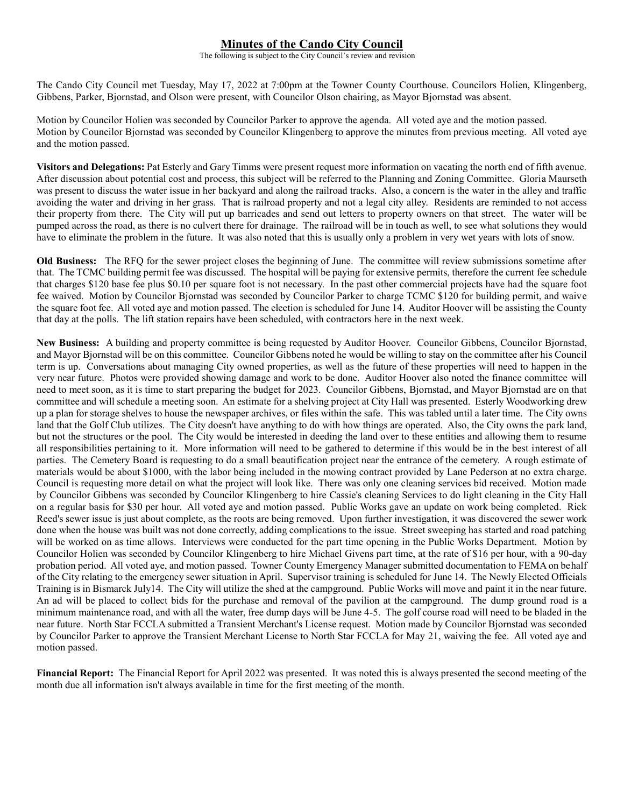## **Minutes of the Cando City Council**

The following is subject to the City Council's review and revision

The Cando City Council met Tuesday, May 17, 2022 at 7:00pm at the Towner County Courthouse. Councilors Holien, Klingenberg, Gibbens, Parker, Bjornstad, and Olson were present, with Councilor Olson chairing, as Mayor Bjornstad was absent.

Motion by Councilor Holien was seconded by Councilor Parker to approve the agenda. All voted aye and the motion passed. Motion by Councilor Bjornstad was seconded by Councilor Klingenberg to approve the minutes from previous meeting. All voted aye and the motion passed.

**Visitors and Delegations:** Pat Esterly and Gary Timms were present request more information on vacating the north end of fifth avenue. After discussion about potential cost and process, this subject will be referred to the Planning and Zoning Committee. Gloria Maurseth was present to discuss the water issue in her backyard and along the railroad tracks. Also, a concern is the water in the alley and traffic avoiding the water and driving in her grass. That is railroad property and not a legal city alley. Residents are reminded to not access their property from there. The City will put up barricades and send out letters to property owners on that street. The water will be pumped across the road, as there is no culvert there for drainage. The railroad will be in touch as well, to see what solutions they would have to eliminate the problem in the future. It was also noted that this is usually only a problem in very wet years with lots of snow.

**Old Business:** The RFQ for the sewer project closes the beginning of June. The committee will review submissions sometime after that. The TCMC building permit fee was discussed. The hospital will be paying for extensive permits, therefore the current fee schedule that charges \$120 base fee plus \$0.10 per square foot is not necessary. In the past other commercial projects have had the square foot fee waived. Motion by Councilor Bjornstad was seconded by Councilor Parker to charge TCMC \$120 for building permit, and waive the square foot fee. All voted aye and motion passed. The election is scheduled for June 14. Auditor Hoover will be assisting the County that day at the polls. The lift station repairs have been scheduled, with contractors here in the next week.

**New Business:** A building and property committee is being requested by Auditor Hoover. Councilor Gibbens, Councilor Bjornstad, and Mayor Bjornstad will be on this committee. Councilor Gibbens noted he would be willing to stay on the committee after his Council term is up. Conversations about managing City owned properties, as well as the future of these properties will need to happen in the very near future. Photos were provided showing damage and work to be done. Auditor Hoover also noted the finance committee will need to meet soon, as it is time to start preparing the budget for 2023. Councilor Gibbens, Bjornstad, and Mayor Bjornstad are on that committee and will schedule a meeting soon. An estimate for a shelving project at City Hall was presented. Esterly Woodworking drew up a plan for storage shelves to house the newspaper archives, or files within the safe. This was tabled until a later time. The City owns land that the Golf Club utilizes. The City doesn't have anything to do with how things are operated. Also, the City owns the park land, but not the structures or the pool. The City would be interested in deeding the land over to these entities and allowing them to resume all responsibilities pertaining to it. More information will need to be gathered to determine if this would be in the best interest of all parties. The Cemetery Board is requesting to do a small beautification project near the entrance of the cemetery. A rough estimate of materials would be about \$1000, with the labor being included in the mowing contract provided by Lane Pederson at no extra charge. Council is requesting more detail on what the project will look like. There was only one cleaning services bid received. Motion made by Councilor Gibbens was seconded by Councilor Klingenberg to hire Cassie's cleaning Services to do light cleaning in the City Hall on a regular basis for \$30 per hour. All voted aye and motion passed. Public Works gave an update on work being completed. Rick Reed's sewer issue is just about complete, as the roots are being removed. Upon further investigation, it was discovered the sewer work done when the house was built was not done correctly, adding complications to the issue. Street sweeping has started and road patching will be worked on as time allows. Interviews were conducted for the part time opening in the Public Works Department. Motion by Councilor Holien was seconded by Councilor Klingenberg to hire Michael Givens part time, at the rate of \$16 per hour, with a 90-day probation period. All voted aye, and motion passed. Towner County Emergency Manager submitted documentation to FEMA on behalf of the City relating to the emergency sewer situation in April. Supervisor training is scheduled for June 14. The Newly Elected Officials Training is in Bismarck July14. The City will utilize the shed at the campground. Public Works will move and paint it in the near future. An ad will be placed to collect bids for the purchase and removal of the pavilion at the campground. The dump ground road is a minimum maintenance road, and with all the water, free dump days will be June 4-5. The golf course road will need to be bladed in the near future. North Star FCCLA submitted a Transient Merchant's License request. Motion made by Councilor Bjornstad was seconded by Councilor Parker to approve the Transient Merchant License to North Star FCCLA for May 21, waiving the fee. All voted aye and motion passed.

**Financial Report:** The Financial Report for April 2022 was presented. It was noted this is always presented the second meeting of the month due all information isn't always available in time for the first meeting of the month.